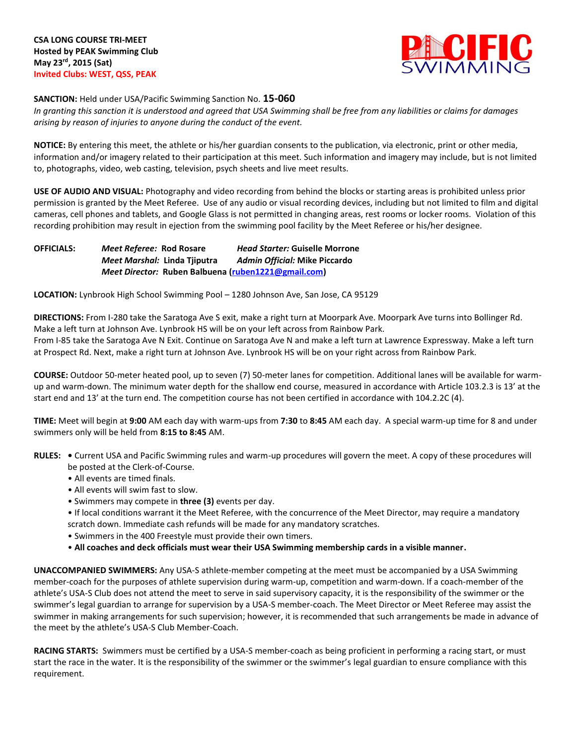

**SANCTION:** Held under USA/Pacific Swimming Sanction No. **15-060**

*In granting this sanction it is understood and agreed that USA Swimming shall be free from any liabilities or claims for damages arising by reason of injuries to anyone during the conduct of the event.*

**NOTICE:** By entering this meet, the athlete or his/her guardian consents to the publication, via electronic, print or other media, information and/or imagery related to their participation at this meet. Such information and imagery may include, but is not limited to, photographs, video, web casting, television, psych sheets and live meet results.

**USE OF AUDIO AND VISUAL:** Photography and video recording from behind the blocks or starting areas is prohibited unless prior permission is granted by the Meet Referee. Use of any audio or visual recording devices, including but not limited to film and digital cameras, cell phones and tablets, and Google Glass is not permitted in changing areas, rest rooms or locker rooms. Violation of this recording prohibition may result in ejection from the swimming pool facility by the Meet Referee or his/her designee.

**OFFICIALS:** *Meet Referee:* **Rod Rosare** *Head Starter:* **Guiselle Morrone** *Meet Marshal:* **Linda Tjiputra** *Admin Official:* **Mike Piccardo** *Meet Director:* **Ruben Balbuena [\(ruben1221@gmail.com\)](mailto:ruben1221@gmail.com)**

**LOCATION:** Lynbrook High School Swimming Pool – 1280 Johnson Ave, San Jose, CA 95129

**DIRECTIONS:** From I-280 take the Saratoga Ave S exit, make a right turn at Moorpark Ave. Moorpark Ave turns into Bollinger Rd. Make a left turn at Johnson Ave. Lynbrook HS will be on your left across from Rainbow Park. From I-85 take the Saratoga Ave N Exit. Continue on Saratoga Ave N and make a left turn at Lawrence Expressway. Make a left turn at Prospect Rd. Next, make a right turn at Johnson Ave. Lynbrook HS will be on your right across from Rainbow Park.

**COURSE:** Outdoor 50-meter heated pool, up to seven (7) 50-meter lanes for competition. Additional lanes will be available for warmup and warm-down. The minimum water depth for the shallow end course, measured in accordance with Article 103.2.3 is 13' at the start end and 13' at the turn end. The competition course has not been certified in accordance with 104.2.2C (4).

**TIME:** Meet will begin at **9:00** AM each day with warm-ups from **7:30** to **8:45** AM each day. A special warm-up time for 8 and under swimmers only will be held from **8:15 to 8:45** AM.

- **RULES:** Current USA and Pacific Swimming rules and warm-up procedures will govern the meet. A copy of these procedures will be posted at the Clerk-of-Course.
	- All events are timed finals.
	- All events will swim fast to slow.
	- Swimmers may compete in **three (3)** events per day.
	- If local conditions warrant it the Meet Referee, with the concurrence of the Meet Director, may require a mandatory scratch down. Immediate cash refunds will be made for any mandatory scratches.
	- Swimmers in the 400 Freestyle must provide their own timers.
	- **All coaches and deck officials must wear their USA Swimming membership cards in a visible manner.**

**UNACCOMPANIED SWIMMERS:** Any USA-S athlete-member competing at the meet must be accompanied by a USA Swimming member-coach for the purposes of athlete supervision during warm-up, competition and warm-down. If a coach-member of the athlete's USA-S Club does not attend the meet to serve in said supervisory capacity, it is the responsibility of the swimmer or the swimmer's legal guardian to arrange for supervision by a USA-S member-coach. The Meet Director or Meet Referee may assist the swimmer in making arrangements for such supervision; however, it is recommended that such arrangements be made in advance of the meet by the athlete's USA-S Club Member-Coach.

**RACING STARTS:** Swimmers must be certified by a USA-S member-coach as being proficient in performing a racing start, or must start the race in the water. It is the responsibility of the swimmer or the swimmer's legal guardian to ensure compliance with this requirement.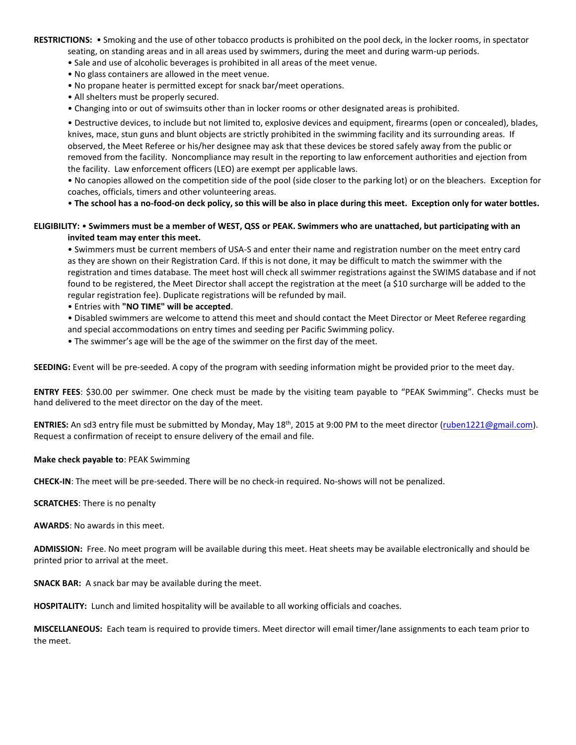**RESTRICTIONS:** • Smoking and the use of other tobacco products is prohibited on the pool deck, in the locker rooms, in spectator seating, on standing areas and in all areas used by swimmers, during the meet and during warm-up periods.

- Sale and use of alcoholic beverages is prohibited in all areas of the meet venue.
- No glass containers are allowed in the meet venue.
- No propane heater is permitted except for snack bar/meet operations.
- All shelters must be properly secured.
- Changing into or out of swimsuits other than in locker rooms or other designated areas is prohibited.

• Destructive devices, to include but not limited to, explosive devices and equipment, firearms (open or concealed), blades, knives, mace, stun guns and blunt objects are strictly prohibited in the swimming facility and its surrounding areas. If observed, the Meet Referee or his/her designee may ask that these devices be stored safely away from the public or removed from the facility. Noncompliance may result in the reporting to law enforcement authorities and ejection from the facility. Law enforcement officers (LEO) are exempt per applicable laws.

• No canopies allowed on the competition side of the pool (side closer to the parking lot) or on the bleachers. Exception for coaches, officials, timers and other volunteering areas.

• **The school has a no-food-on deck policy, so this will be also in place during this meet. Exception only for water bottles.**

## **ELIGIBILITY:** • **Swimmers must be a member of WEST, QSS or PEAK. Swimmers who are unattached, but participating with an invited team may enter this meet.**

• Swimmers must be current members of USA-S and enter their name and registration number on the meet entry card as they are shown on their Registration Card. If this is not done, it may be difficult to match the swimmer with the registration and times database. The meet host will check all swimmer registrations against the SWIMS database and if not found to be registered, the Meet Director shall accept the registration at the meet (a \$10 surcharge will be added to the regular registration fee). Duplicate registrations will be refunded by mail.

- Entries with **"NO TIME" will be accepted**.
- Disabled swimmers are welcome to attend this meet and should contact the Meet Director or Meet Referee regarding and special accommodations on entry times and seeding per Pacific Swimming policy.
- The swimmer's age will be the age of the swimmer on the first day of the meet.

**SEEDING:** Event will be pre-seeded. A copy of the program with seeding information might be provided prior to the meet day.

**ENTRY FEES**: \$30.00 per swimmer. One check must be made by the visiting team payable to "PEAK Swimming". Checks must be hand delivered to the meet director on the day of the meet.

**ENTRIES:** An sd3 entry file must be submitted by Monday, May 18th, 2015 at 9:00 PM to the meet director [\(ruben1221@gmail.com\)](mailto:ruben1221@gmail.com). Request a confirmation of receipt to ensure delivery of the email and file.

## **Make check payable to**: PEAK Swimming

**CHECK-IN**: The meet will be pre-seeded. There will be no check-in required. No-shows will not be penalized.

**SCRATCHES**: There is no penalty

**AWARDS**: No awards in this meet.

**ADMISSION:** Free. No meet program will be available during this meet. Heat sheets may be available electronically and should be printed prior to arrival at the meet.

**SNACK BAR:** A snack bar may be available during the meet.

**HOSPITALITY:** Lunch and limited hospitality will be available to all working officials and coaches.

**MISCELLANEOUS:** Each team is required to provide timers. Meet director will email timer/lane assignments to each team prior to the meet.